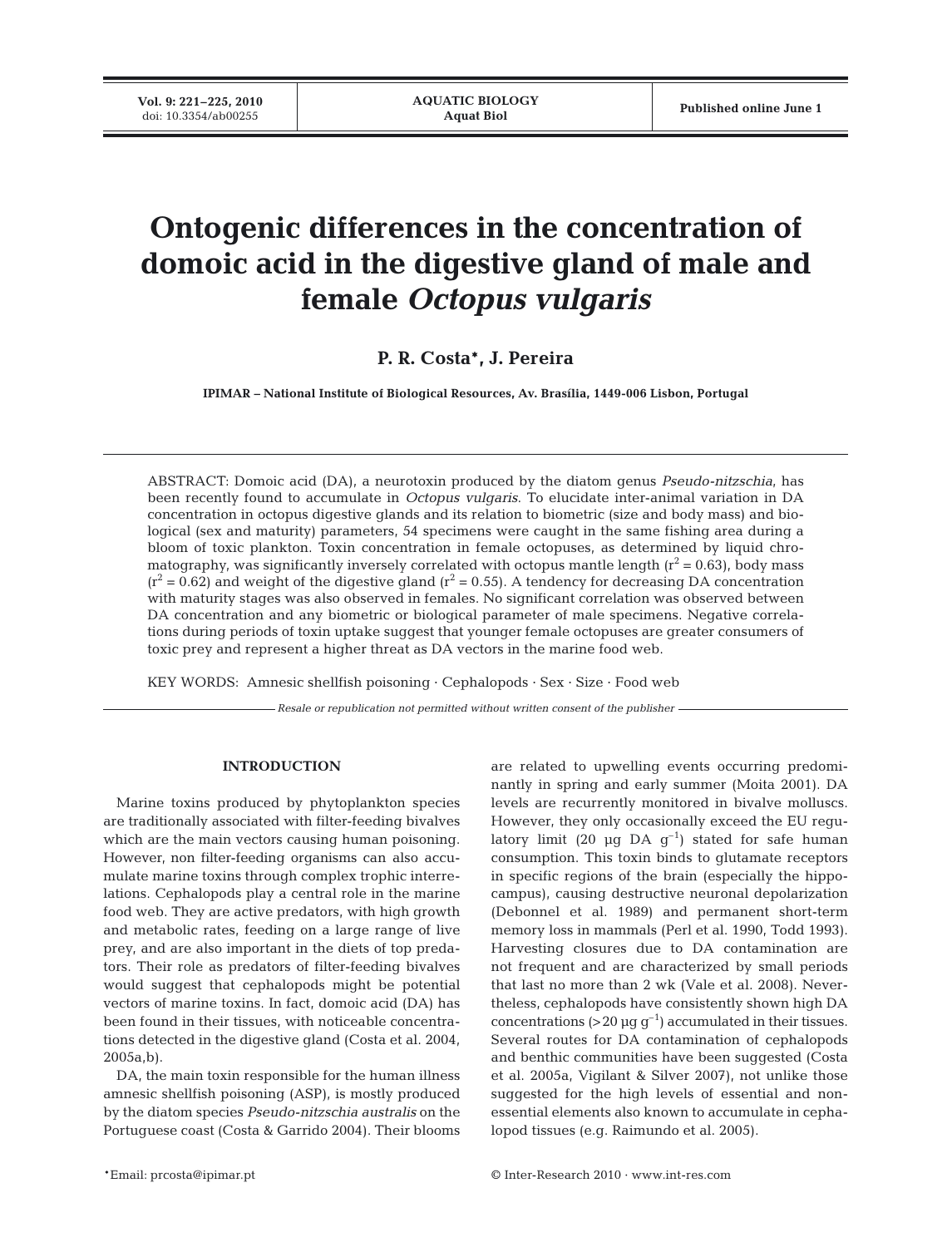# **Ontogenic differences in the concentration of domoic acid in the digestive gland of male and female** *Octopus vulgaris*

**P. R. Costa\*, J. Pereira**

**IPIMAR – National Institute of Biological Resources, Av. Brasília, 1449-006 Lisbon, Portugal**

ABSTRACT: Domoic acid (DA), a neurotoxin produced by the diatom genus *Pseudo-nitzschia*, has been recently found to accumulate in *Octopus vulgaris*. To elucidate inter-animal variation in DA concentration in octopus digestive glands and its relation to biometric (size and body mass) and biological (sex and maturity) parameters, 54 specimens were caught in the same fishing area during a bloom of toxic plankton. Toxin concentration in female octopuses, as determined by liquid chromatography, was significantly inversely correlated with octopus mantle length ( $r^2$  = 0.63), body mass  $(r^2 = 0.62)$  and weight of the digestive gland  $(r^2 = 0.55)$ . A tendency for decreasing DA concentration with maturity stages was also observed in females. No significant correlation was observed between DA concentration and any biometric or biological parameter of male specimens. Negative correlations during periods of toxin uptake suggest that younger female octopuses are greater consumers of toxic prey and represent a higher threat as DA vectors in the marine food web.

KEY WORDS: Amnesic shellfish poisoning · Cephalopods · Sex · Size · Food web

*Resale or republication not permitted without written consent of the publisher*

## **INTRODUCTION**

Marine toxins produced by phytoplankton species are traditionally associated with filter-feeding bivalves which are the main vectors causing human poisoning. However, non filter-feeding organisms can also accumulate marine toxins through complex trophic interrelations. Cephalopods play a central role in the marine food web. They are active predators, with high growth and metabolic rates, feeding on a large range of live prey, and are also important in the diets of top predators. Their role as predators of filter-feeding bivalves would suggest that cephalopods might be potential vectors of marine toxins. In fact, domoic acid (DA) has been found in their tissues, with noticeable concentrations detected in the digestive gland (Costa et al. 2004, 2005a,b).

DA, the main toxin responsible for the human illness amnesic shellfish poisoning (ASP), is mostly produced by the diatom species *Pseudo-nitzschia australis* on the Portuguese coast (Costa & Garrido 2004). Their blooms are related to upwelling events occurring predominantly in spring and early summer (Moita 2001). DA levels are recurrently monitored in bivalve molluscs. However, they only occasionally exceed the EU regulatory limit (20  $\mu$ g DA g<sup>-1</sup>) stated for safe human consumption. This toxin binds to glutamate receptors in specific regions of the brain (especially the hippocampus), causing destructive neuronal depolarization (Debonnel et al. 1989) and permanent short-term memory loss in mammals (Perl et al. 1990, Todd 1993). Harvesting closures due to DA contamination are not frequent and are characterized by small periods that last no more than 2 wk (Vale et al. 2008). Nevertheless, cephalopods have consistently shown high DA concentrations (>20  $\mu$ g g<sup>-1</sup>) accumulated in their tissues. Several routes for DA contamination of cephalopods and benthic communities have been suggested (Costa et al. 2005a, Vigilant & Silver 2007), not unlike those suggested for the high levels of essential and nonessential elements also known to accumulate in cephalopod tissues (e.g. Raimundo et al. 2005).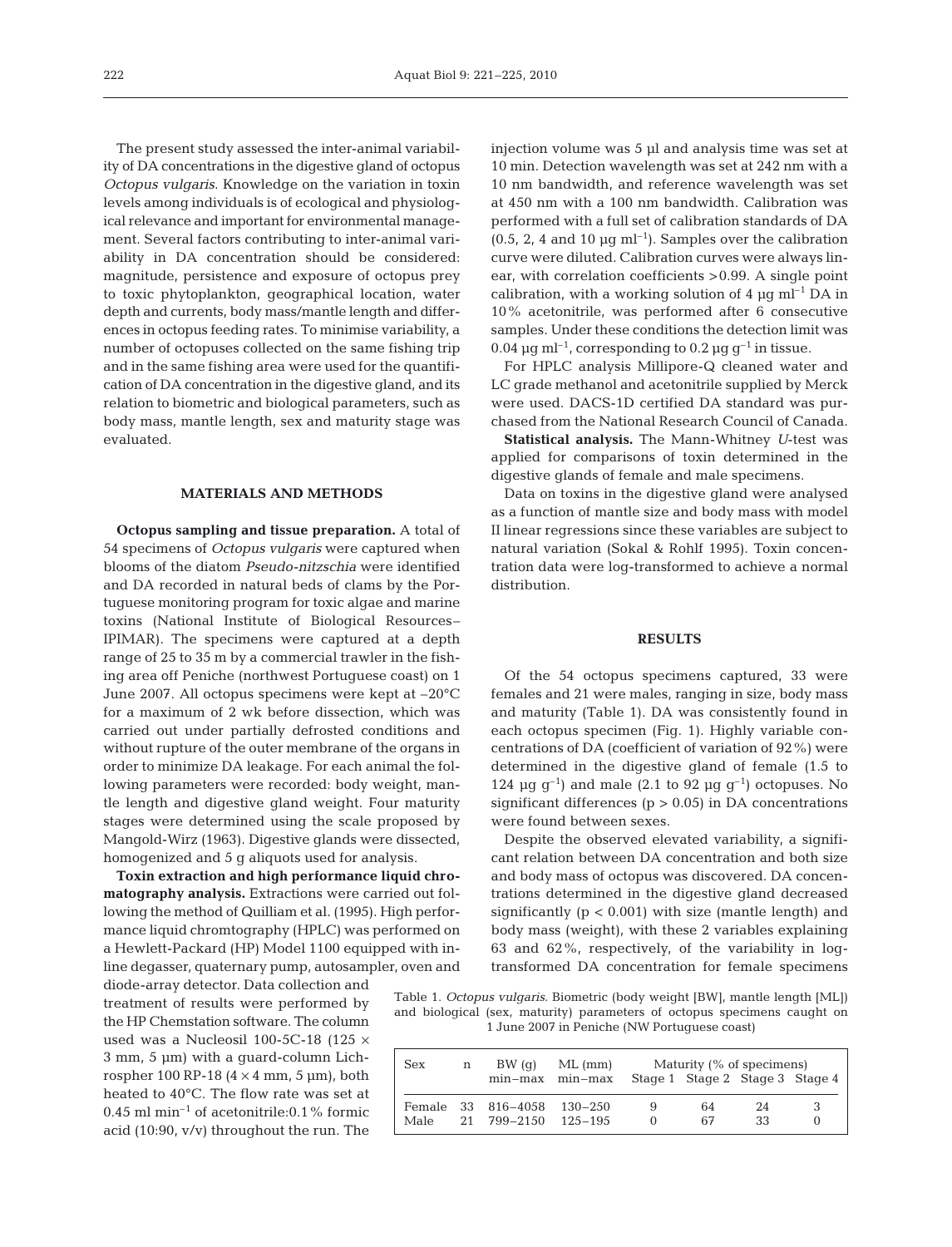The present study assessed the inter-animal variability of DA concentrations in the digestive gland of octopus *Octopus vulgaris*. Knowledge on the variation in toxin levels among individuals is of ecological and physiological relevance and important for environmental management. Several factors contributing to inter-animal variability in DA concentration should be considered: magnitude, persistence and exposure of octopus prey to toxic phytoplankton, geographical location, water depth and currents, body mass/mantle length and differences in octopus feeding rates. To minimise variability, a number of octopuses collected on the same fishing trip and in the same fishing area were used for the quantification of DA concentration in the digestive gland, and its relation to biometric and biological parameters, such as body mass, mantle length, sex and maturity stage was evaluated.

## **MATERIALS AND METHODS**

**Octopus sampling and tissue preparation.** A total of 54 specimens of *Octopus vulgaris* were captured when blooms of the diatom *Pseudo-nitzschia* were identified and DA recorded in natural beds of clams by the Portuguese monitoring program for toxic algae and marine toxins (National Institute of Biological Resources– IPIMAR). The specimens were captured at a depth range of 25 to 35 m by a commercial trawler in the fishing area off Peniche (northwest Portuguese coast) on 1 June 2007. All octopus specimens were kept at –20°C for a maximum of 2 wk before dissection, which was carried out under partially defrosted conditions and without rupture of the outer membrane of the organs in order to minimize DA leakage. For each animal the following parameters were recorded: body weight, mantle length and digestive gland weight. Four maturity stages were determined using the scale proposed by Mangold-Wirz (1963). Digestive glands were dissected, homogenized and 5 g aliquots used for analysis.

**Toxin extraction and high performance liquid chromatography analysis.** Extractions were carried out following the method of Quilliam et al. (1995). High performance liquid chromtography (HPLC) was performed on a Hewlett-Packard (HP) Model 1100 equipped with inline degasser, quaternary pump, autosampler, oven and

diode-array detector. Data collection and treatment of results were performed by the HP Chemstation software. The column used was a Nucleosil 100-5C-18 (125  $\times$ 3 mm, 5 µm) with a guard-column Lichrospher 100 RP-18  $(4 \times 4 \text{ mm}, 5 \text{ \mu m})$ , both heated to 40°C. The flow rate was set at 0.45 ml min–1 of acetonitrile:0.1% formic acid (10:90, v/v) throughout the run. The

injection volume was 5 µl and analysis time was set at 10 min. Detection wavelength was set at 242 nm with a 10 nm bandwidth, and reference wavelength was set at 450 nm with a 100 nm bandwidth. Calibration was performed with a full set of calibration standards of DA  $(0.5, 2, 4$  and 10 µg ml<sup>-1</sup>). Samples over the calibration curve were diluted. Calibration curves were always linear, with correlation coefficients >0.99. A single point calibration, with a working solution of 4  $\mu$ g ml<sup>-1</sup> DA in 10% acetonitrile, was performed after 6 consecutive samples. Under these conditions the detection limit was 0.04  $\mu$ g ml<sup>-1</sup>, corresponding to 0.2  $\mu$ g g<sup>-1</sup> in tissue.

For HPLC analysis Millipore-Q cleaned water and LC grade methanol and acetonitrile supplied by Merck were used. DACS-1D certified DA standard was purchased from the National Research Council of Canada.

**Statistical analysis.** The Mann-Whitney *U*-test was applied for comparisons of toxin determined in the digestive glands of female and male specimens.

Data on toxins in the digestive gland were analysed as a function of mantle size and body mass with model II linear regressions since these variables are subject to natural variation (Sokal & Rohlf 1995). Toxin concentration data were log-transformed to achieve a normal distribution.

#### **RESULTS**

Of the 54 octopus specimens captured, 33 were females and 21 were males, ranging in size, body mass and maturity (Table 1). DA was consistently found in each octopus specimen (Fig. 1). Highly variable concentrations of DA (coefficient of variation of 92%) were determined in the digestive gland of female (1.5 to 124  $\mu$ g g<sup>-1</sup>) and male (2.1 to 92  $\mu$ g g<sup>-1</sup>) octopuses. No significant differences ( $p > 0.05$ ) in DA concentrations were found between sexes.

Despite the observed elevated variability, a significant relation between DA concentration and both size and body mass of octopus was discovered. DA concentrations determined in the digestive gland decreased significantly  $(p < 0.001)$  with size (mantle length) and body mass (weight), with these 2 variables explaining 63 and 62%, respectively, of the variability in logtransformed DA concentration for female specimens

Table 1. *Octopus vulgaris*. Biometric (body weight [BW], mantle length [ML]) and biological (sex, maturity) parameters of octopus specimens caught on 1 June 2007 in Peniche (NW Portuguese coast)

| Sex  | n | BW(q)<br>min-max min-max          | $ML$ (mm)            |                   | Maturity (% of specimens) |          | Stage 1 Stage 2 Stage 3 Stage 4 |
|------|---|-----------------------------------|----------------------|-------------------|---------------------------|----------|---------------------------------|
| Male |   | Female 33 816-4058<br>21 799-2150 | 130–250<br>12.5–19.5 | 9<br>$\mathbf{0}$ | 64<br>67                  | 24<br>33 | З                               |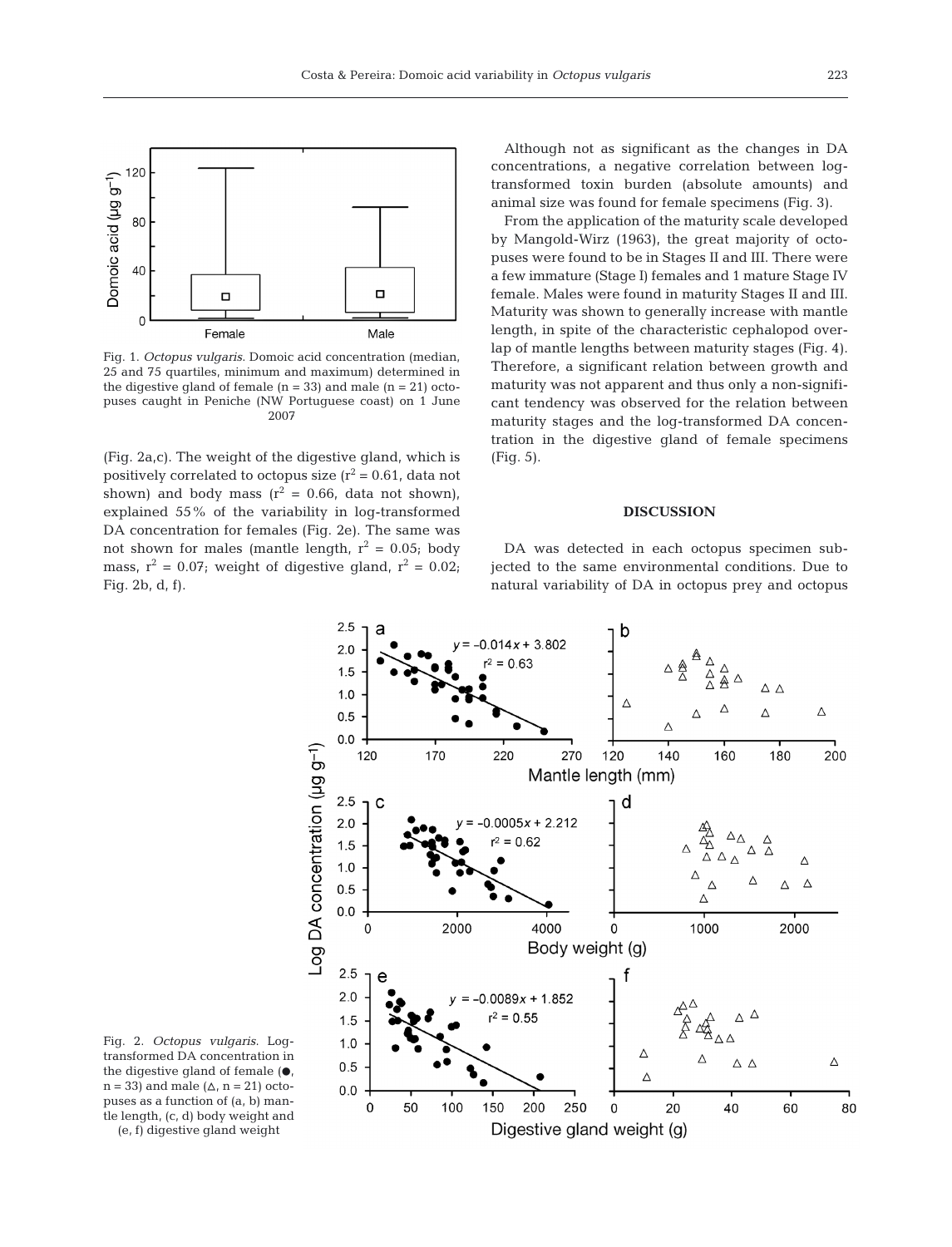

Fig. 1. *Octopus vulgaris*. Domoic acid concentration (median, 25 and 75 quartiles, minimum and maximum) determined in the digestive gland of female  $(n = 33)$  and male  $(n = 21)$  octopuses caught in Peniche (NW Portuguese coast) on 1 June 2007

(Fig. 2a,c). The weight of the digestive gland, which is positively correlated to octopus size  $(r^2 = 0.61$ , data not shown) and body mass  $(r^2 = 0.66, \text{ data not shown})$ , explained 55% of the variability in log-transformed DA concentration for females (Fig. 2e). The same was not shown for males (mantle length,  $r^2 = 0.05$ ; body mass,  $r^2 = 0.07$ ; weight of digestive gland,  $r^2 = 0.02$ ; Fig. 2b, d, f).

Although not as significant as the changes in DA concentrations, a negative correlation between logtransformed toxin burden (absolute amounts) and animal size was found for female specimens (Fig. 3).

From the application of the maturity scale developed by Mangold-Wirz (1963), the great majority of octopuses were found to be in Stages II and III. There were a few immature (Stage I) females and 1 mature Stage IV female. Males were found in maturity Stages II and III. Maturity was shown to generally increase with mantle length, in spite of the characteristic cephalopod overlap of mantle lengths between maturity stages (Fig. 4). Therefore, a significant relation between growth and maturity was not apparent and thus only a non-significant tendency was observed for the relation between maturity stages and the log-transformed DA concentration in the digestive gland of female specimens (Fig. 5).

## **DISCUSSION**

DA was detected in each octopus specimen subjected to the same environmental conditions. Due to natural variability of DA in octopus prey and octopus



Fig. 2. *Octopus vulgaris*. Logtransformed DA concentration in the digestive gland of female  $( \bullet, )$  $n = 33$ ) and male  $(\Delta, n = 21)$  octopuses as a function of (a, b) mantle length, (c, d) body weight and

(e, f) digestive gland weight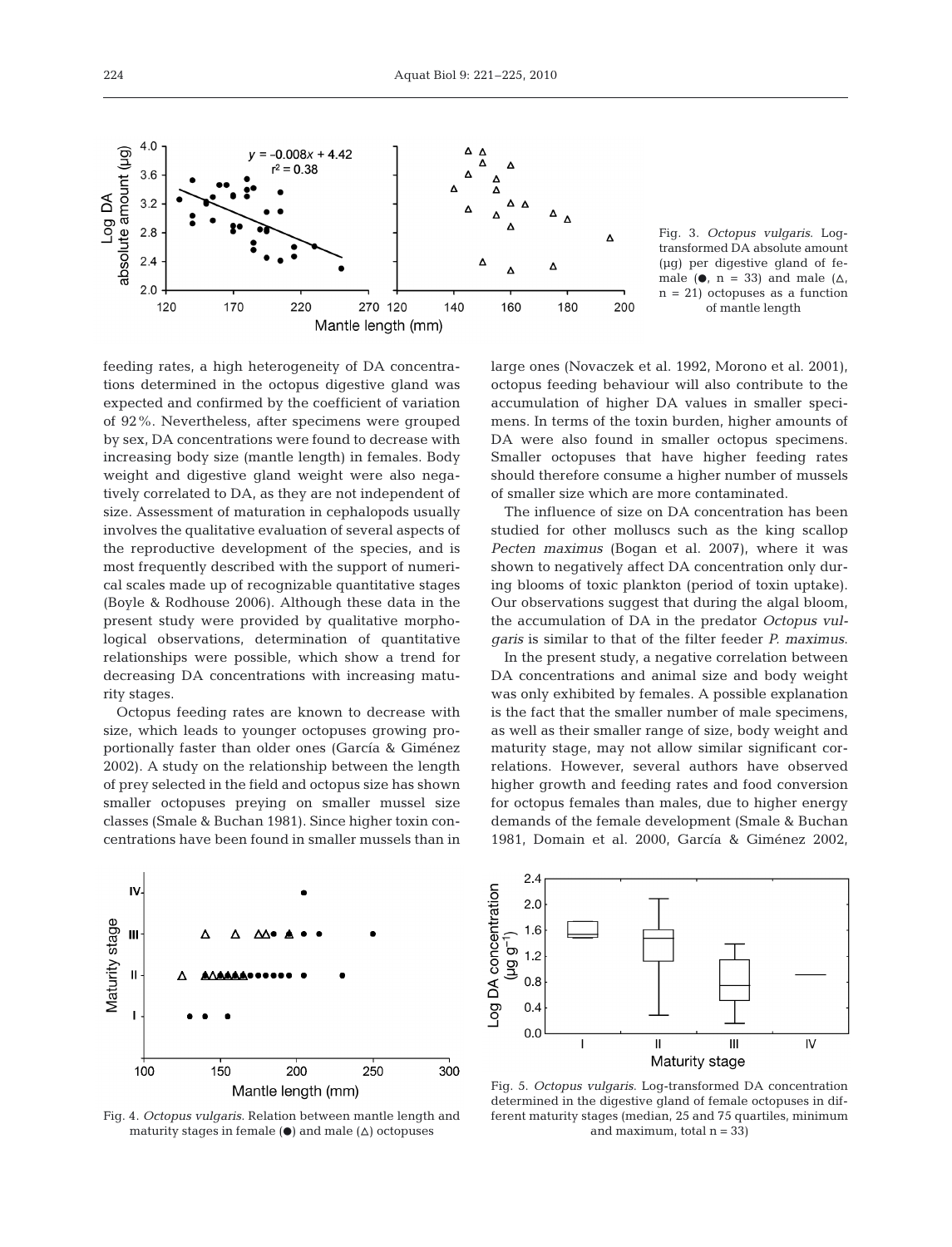

Fig. 3. *Octopus vulgaris*. Logtransformed DA absolute amount (µg) per digestive gland of female ( $\bullet$ , n = 33) and male ( $\Delta$ ,  $n = 21$ ) octopuses as a function of mantle length

feeding rates, a high heterogeneity of DA concentrations determined in the octopus digestive gland was expected and confirmed by the coefficient of variation of 92%. Nevertheless, after specimens were grouped by sex, DA concentrations were found to decrease with increasing body size (mantle length) in females. Body weight and digestive gland weight were also negatively correlated to DA, as they are not independent of size. Assessment of maturation in cephalopods usually involves the qualitative evaluation of several aspects of the reproductive development of the species, and is most frequently described with the support of numerical scales made up of recognizable quantitative stages (Boyle & Rodhouse 2006). Although these data in the present study were provided by qualitative morphological observations, determination of quantitative relationships were possible, which show a trend for decreasing DA concentrations with increasing maturity stages.

Octopus feeding rates are known to decrease with size, which leads to younger octopuses growing proportionally faster than older ones (García & Giménez 2002). A study on the relationship between the length of prey selected in the field and octopus size has shown smaller octopuses preying on smaller mussel size classes (Smale & Buchan 1981). Since higher toxin concentrations have been found in smaller mussels than in large ones (Novaczek et al. 1992, Morono et al. 2001), octopus feeding behaviour will also contribute to the accumulation of higher DA values in smaller specimens. In terms of the toxin burden, higher amounts of DA were also found in smaller octopus specimens. Smaller octopuses that have higher feeding rates should therefore consume a higher number of mussels of smaller size which are more contaminated.

The influence of size on DA concentration has been studied for other molluscs such as the king scallop *Pecten maximus* (Bogan et al. 2007), where it was shown to negatively affect DA concentration only during blooms of toxic plankton (period of toxin uptake). Our observations suggest that during the algal bloom, the accumulation of DA in the predator *Octopus vulgaris* is similar to that of the filter feeder *P. maximus*.

In the present study, a negative correlation between DA concentrations and animal size and body weight was only exhibited by females. A possible explanation is the fact that the smaller number of male specimens, as well as their smaller range of size, body weight and maturity stage, may not allow similar significant correlations. However, several authors have observed higher growth and feeding rates and food conversion for octopus females than males, due to higher energy demands of the female development (Smale & Buchan 1981, Domain et al. 2000, García & Giménez 2002,



Fig. 4. *Octopus vulgaris*. Relation between mantle length and maturity stages in female  $(\bullet)$  and male  $(\triangle)$  octopuses



Fig. 5. *Octopus vulgaris*. Log-transformed DA concentration determined in the digestive gland of female octopuses in different maturity stages (median, 25 and 75 quartiles, minimum and maximum, total  $n = 33$ )